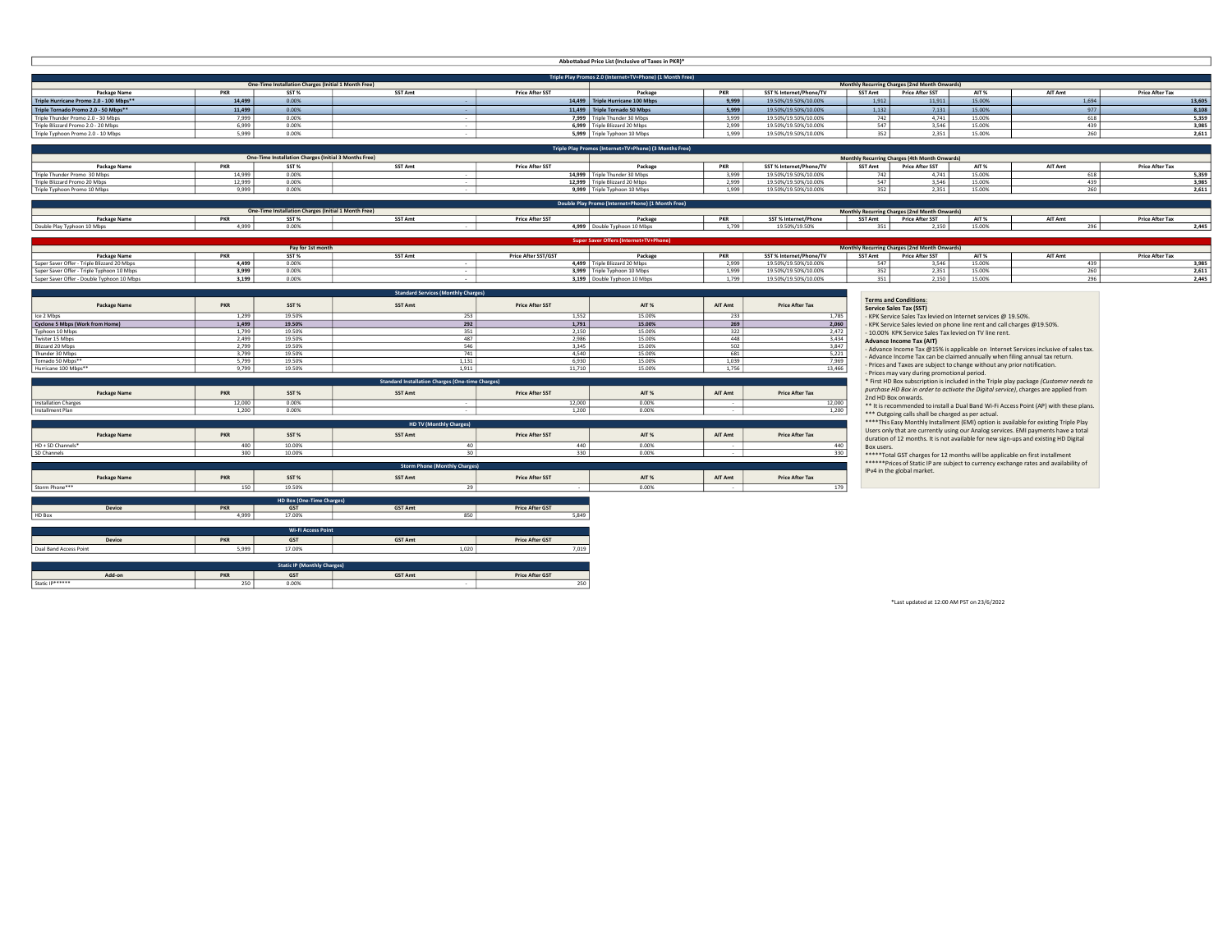|                                                                        |                |                                                              |                                                         |                        | Abbottabad Price List (Inclusive of Taxes in PKR)*        |                |                         |            |                                                                  |                                                                                       |       |                        |
|------------------------------------------------------------------------|----------------|--------------------------------------------------------------|---------------------------------------------------------|------------------------|-----------------------------------------------------------|----------------|-------------------------|------------|------------------------------------------------------------------|---------------------------------------------------------------------------------------|-------|------------------------|
|                                                                        |                |                                                              |                                                         |                        | Triple Play Promos 2.0 (Internet+TV+Phone) (1 Month Free) |                |                         |            |                                                                  |                                                                                       |       |                        |
| Package Name                                                           | PKR            | One-Time Installation Charges (Initial 1 Month Free)<br>SST% | <b>SST Amt</b>                                          | <b>Price After SST</b> |                                                           | PKR            | SST% Internet/Phone/TV  | SST Amt    | Monthly Recurring Charges (2nd Month Onwards)<br>Price After SST | AIT <sub>%</sub><br><b>AIT Amt</b>                                                    |       | <b>Price After Tax</b> |
| Triple Hurricane Promo 2.0 - 100 Mbps**                                | 14,499         | 0.00%                                                        |                                                         |                        | Package<br>14,499 Triple Hurricane 100 Mbps               | 9,999          | 19.50%/19.50%/10.00%    | 1,912      | 11,911                                                           | 15.00%                                                                                | 1,694 | 13,605                 |
| Triple Tornado Promo 2.0 - 50 Mbps**                                   | 11,499         | 0.00%                                                        |                                                         |                        | 11,499 Triple Tornado 50 Mbps                             | 5.999          | 19.50%/19.50%/10.00%    | 1,132      | 7,131                                                            | 15.00%                                                                                | 977   | 8,108                  |
| Triple Thunder Promo 2.0 - 30 Mbps                                     | 7.999          | 0.00%                                                        |                                                         |                        | 7,999 Triple Thunder 30 Mbps                              | 3.999          | 19.50%/19.50%/10.00%    | 742        | 4,741                                                            | 15.00%                                                                                | 618   | 5,359                  |
| Triple Blizzard Promo 2.0 - 20 Mbps                                    | 6,999          | 0.00%                                                        |                                                         |                        | 6,999 Triple Blizzard 20 Mbps                             | 2,999          | 19.50%/19.50%/10.00%    | 547        | 3,546                                                            | 15.00%                                                                                | 439   | 3,985                  |
| Triple Typhoon Promo 2.0 - 10 Mbps                                     | 5,999          | 0.00%                                                        |                                                         |                        | 5,999 Triple Typhoon 10 Mbps                              | 1,999          | 19.50%/19.50%/10.00%    | 352        | 2,351                                                            | 15.00%                                                                                | 260   | 2,611                  |
|                                                                        |                |                                                              |                                                         |                        |                                                           |                |                         |            |                                                                  |                                                                                       |       |                        |
|                                                                        |                |                                                              |                                                         |                        | Triple Play Promos (Internet+TV+Phone) (3 Months Free)    |                |                         |            |                                                                  |                                                                                       |       |                        |
|                                                                        |                | One-Time Installation Charges (Initial 3 Months Free)        |                                                         |                        |                                                           |                |                         |            | Monthly Recurring Charges (4th Month Onwards)                    |                                                                                       |       |                        |
| Package Name                                                           | PKR            | SST%                                                         | <b>SST Amt</b>                                          | <b>Price After SST</b> | Package                                                   | <b>PKR</b>     | SST % Internet/Phone/TV | SST Amt    | <b>Price After SST</b>                                           | AIT %<br>AIT Amt                                                                      |       | <b>Price After Tax</b> |
| Triple Thunder Promo 30 Mbps                                           | 14,999         | 0.00%                                                        |                                                         |                        | 14,999 Triple Thunder 30 Mbps                             | 3,999          | 19.50%/19.50%/10.00%    | 742        | 4,741                                                            | 15.00%                                                                                | 618   | 5,359                  |
| Triple Blizzard Promo 20 Mbps                                          | 12,999         | 0.00%                                                        |                                                         |                        | 12.999 Triple Blizzard 20 Mbps                            | 2,999          | 19.50%/19.50%/10.00%    | 547        | 3.546                                                            | 15.00%                                                                                | 439   | 3,985                  |
| Triple Typhoon Promo 10 Mbps                                           | 9.999          | 0.00%                                                        |                                                         |                        | 9,999 Triple Typhoon 10 Mbps                              | 1.999          | 19.50%/19.50%/10.00%    | 352        | 2.351                                                            | 15.00%                                                                                | 260   | 2,611                  |
|                                                                        |                |                                                              |                                                         |                        | Double Play Promo (Internet+Phone) (1 Month Free)         |                |                         |            |                                                                  |                                                                                       |       |                        |
|                                                                        |                | One-Time Installation Charges (Initial 1 Month Free)         |                                                         |                        |                                                           |                |                         |            | Monthly Recurring Charges (2nd Month Onwards)                    |                                                                                       |       |                        |
| Package Name                                                           | PKR            | SST%                                                         | <b>SST Amt</b>                                          | <b>Price After SST</b> | Package                                                   | <b>PKR</b>     | SST % Internet/Phone    |            | SST Amt Price After SST                                          | AIT%<br>AIT Amt                                                                       |       | <b>Price After Tax</b> |
| Double Play Typhoon 10 Mbps                                            | 4,999          | 0.00%                                                        |                                                         |                        | 4.999 Double Typhoon 10 Mbps                              | 1,799          | 19.50%/19.50%           | 351        | 2.150                                                            | 15.00%                                                                                | 296   | 2,445                  |
|                                                                        |                |                                                              |                                                         |                        | <b>Super Saver Offers</b>                                 |                |                         |            |                                                                  |                                                                                       |       |                        |
|                                                                        |                | Pay for 1st month                                            |                                                         |                        |                                                           |                |                         |            | <b>Monthly Recurring Charges (2nd Month Onwards)</b>             |                                                                                       |       |                        |
| Package Name                                                           | <b>PKR</b>     | SST%                                                         | <b>SST Amt</b>                                          | Price After SST/GST    | Package                                                   | <b>PKR</b>     | SST% Internet/Phone/TV  | SST Amt    | <b>Price After SST</b>                                           | AIT %<br>AIT Amt                                                                      |       | <b>Price After Tax</b> |
| Super Saver Offer - Triple Blizzard 20 Mbps                            | 4,499          | 0.00%                                                        |                                                         |                        | 4,499 Triple Blizzard 20 Mbps                             | 2,999          | 19.50%/19.50%/10.00%    | 547        | 3,546                                                            | 15.00%                                                                                | 439   | 3,985                  |
| Super Saver Offer - Triple Typhoon 10 Mbps                             | 3,999          | 0.00%                                                        |                                                         |                        | 3,999 Triple Typhoon 10 Mbps                              | 1,999          | 19.50%/19.50%/10.00%    | 352        | 2,351                                                            | 15.00%                                                                                | 260   | 2,611                  |
| Super Saver Offer - Double Typhoon 10 Mbps                             | 3,199          | 0.00%                                                        |                                                         |                        | 3,199 Double Typhoon 10 Mbps                              | 1,799          | 19.50%/19.50%/10.00%    | 351        | 2,150                                                            | 15.00%                                                                                | 296   | 2,445                  |
|                                                                        |                |                                                              | <b>Standard Services (Monthly Charges)</b>              |                        |                                                           |                |                         |            |                                                                  |                                                                                       |       |                        |
|                                                                        |                |                                                              |                                                         |                        |                                                           |                |                         |            | <b>Terms and Conditions:</b>                                     |                                                                                       |       |                        |
| Package Name                                                           | <b>PKR</b>     | SST%                                                         | SST Amt                                                 | <b>Price After SST</b> | AIT %                                                     | AIT Amt        | <b>Price After Tax</b>  |            | <b>Service Sales Tax (SST)</b>                                   |                                                                                       |       |                        |
|                                                                        | 1.299          | 19.50%                                                       | 253                                                     | 1552                   | 15,00%                                                    | 733            | 1785                    |            | - KPK Service Sales Tax levied on Internet services @ 19.50%.    |                                                                                       |       |                        |
| Ice 2 Mbps<br>Cyclone 5 Mbps (Work from Home)                          | 1,499          | 19.50%                                                       | 292                                                     | 1,791                  | 15.00%                                                    | 269            | 2,060                   |            |                                                                  | - KPK Service Sales levied on phone line rent and call charges @19.50%.               |       |                        |
| Typhoon 10 Mbps                                                        | 1,799          | 19.50%                                                       | 351                                                     | 2,150                  | 15.00%                                                    | 322            | 2,472                   |            | - 10.00% KPK Service Sales Tax levied on TV line rent.           |                                                                                       |       |                        |
| Twister 15 Mbps                                                        | 2,499          | 19.50%                                                       | 487                                                     | 2,986                  | 15.00%                                                    | 448            | 3,434                   |            | <b>Advance Income Tax (AIT)</b>                                  |                                                                                       |       |                        |
| Blizzard 20 Mbps                                                       | 2,799          | 19.50%                                                       | 546<br>741                                              | 3,345                  | 15.00%                                                    | 502            | 3,847                   |            |                                                                  | - Advance Income Tax @15% is applicable on Internet Services inclusive of sales tax.  |       |                        |
| Thunder 30 Mbos                                                        | 3,799          | 19.50%                                                       |                                                         | 4.540                  | 15,00%                                                    | 681            | 5.221                   |            |                                                                  | Advance Income Tax can be claimed annually when filing annual tax return.             |       |                        |
| Tornado 50 Mbps*                                                       | 5,799<br>9.799 | 19.50%<br>19.50%                                             | 1,131<br>1.911                                          | 6,930<br>11,710        | 15.00%<br>15,00%                                          | 1,039<br>1,756 | 7,969<br>13,466         |            |                                                                  | Prices and Taxes are subject to change without any prior notification.                |       |                        |
| Hurricane 100 Mbps**                                                   |                |                                                              |                                                         |                        |                                                           |                |                         |            | - Prices may vary during promotional period.                     |                                                                                       |       |                        |
|                                                                        |                |                                                              | <b>Standard Installation Charges (One-time Charges)</b> |                        |                                                           |                |                         |            |                                                                  | * First HD Box subscription is included in the Triple play package (Customer needs to |       |                        |
| Package Name                                                           | <b>PKR</b>     | SST %                                                        | SST Amt                                                 | <b>Price After SST</b> | AIT %                                                     | AIT Amt        | <b>Price After Tax</b>  |            |                                                                  | purchase HD Box in order to activate the Digital service), charges are applied from   |       |                        |
|                                                                        | 12,000         | 0.00%                                                        |                                                         | 12,000                 | 0.00%                                                     |                | 12,000                  |            | 2nd HD Box onwards.                                              |                                                                                       |       |                        |
| <b>Installation Charges</b>                                            | 1,200          | 0.00%                                                        |                                                         | 1,200                  | 0.00%                                                     |                | 1,200                   |            |                                                                  | ** It is recommended to install a Dual Band Wi-Fi Access Point (AP) with these plans. |       |                        |
|                                                                        |                |                                                              |                                                         |                        |                                                           |                |                         |            | *** Outgoing calls shall be charged as per actual.               |                                                                                       |       |                        |
|                                                                        |                |                                                              | HD TV (Monthly Charges)                                 |                        |                                                           |                |                         |            |                                                                  | **** This Easy Monthly Installment (EMI) option is available for existing Triple Play |       |                        |
|                                                                        |                |                                                              |                                                         | <b>Price After SST</b> | AIT %                                                     | AIT Amt        | <b>Price After Tax</b>  |            |                                                                  | Users only that are currently using our Analog services. EMI payments have a total    |       |                        |
| Package Name                                                           |                |                                                              |                                                         |                        |                                                           |                |                         |            |                                                                  | duration of 12 months. It is not available for new sign-ups and existing HD Digital   |       |                        |
|                                                                        | PKR            | SST%                                                         | <b>SST Amt</b>                                          |                        |                                                           |                |                         |            |                                                                  |                                                                                       |       |                        |
|                                                                        | 400            | 10.00%                                                       | 30 <sub>1</sub>                                         | 440                    | 0.00%                                                     |                | 440                     | Box users. |                                                                  |                                                                                       |       |                        |
|                                                                        | 300            | 10.00%                                                       |                                                         | 330                    | 0.00%                                                     |                | 330                     |            |                                                                  | *****Total GST charges for 12 months will be applicable on first installment          |       |                        |
|                                                                        |                |                                                              | <b>Storm Phone (Monthly Charges)</b>                    |                        |                                                           |                |                         |            |                                                                  | ****** Prices of Static IP are subject to currency exchange rates and availability of |       |                        |
| Package Name                                                           | PKR            | SST%                                                         | SST Amt                                                 | <b>Price After SST</b> | AIT %                                                     | AIT Amt        | <b>Price After Tax</b>  |            | IPv4 in the global market.                                       |                                                                                       |       |                        |
|                                                                        |                |                                                              | 29                                                      |                        |                                                           |                |                         |            |                                                                  |                                                                                       |       |                        |
| Installment Plan<br>HD + SD Channels*<br>SD Channels<br>Storm Phone*** | 150            | 19.50%                                                       |                                                         |                        | 0.00%                                                     |                | 179                     |            |                                                                  |                                                                                       |       |                        |
|                                                                        |                | HD Box (One-Ti                                               |                                                         |                        |                                                           |                |                         |            |                                                                  |                                                                                       |       |                        |
| Device                                                                 | <b>PKR</b>     | <b>GST</b>                                                   | <b>GST Amt</b>                                          | <b>Price After GST</b> |                                                           |                |                         |            |                                                                  |                                                                                       |       |                        |
|                                                                        | 4.999          | 17.00%                                                       | 850                                                     | 5.849                  |                                                           |                |                         |            |                                                                  |                                                                                       |       |                        |
| HD Box                                                                 |                |                                                              |                                                         |                        |                                                           |                |                         |            |                                                                  |                                                                                       |       |                        |
|                                                                        |                | Wi-Fi Access Point                                           |                                                         |                        |                                                           |                |                         |            |                                                                  |                                                                                       |       |                        |
| Device                                                                 | <b>PKR</b>     | <b>GST</b>                                                   | <b>GST Amt</b>                                          | Price After GST        |                                                           |                |                         |            |                                                                  |                                                                                       |       |                        |
|                                                                        | 5.999          | 17.00%                                                       | 1.020                                                   | 7.019                  |                                                           |                |                         |            |                                                                  |                                                                                       |       |                        |
|                                                                        |                |                                                              |                                                         |                        |                                                           |                |                         |            |                                                                  |                                                                                       |       |                        |
| <b>Dual Band Access Point</b><br>Add-on                                | <b>PKR</b>     | <b>Static IP (Monthly Charges)</b><br><b>GST</b>             | <b>GST Amt</b>                                          | <b>Price After GST</b> |                                                           |                |                         |            |                                                                  |                                                                                       |       |                        |

Static IP\*\*\*\*\*\* 250 0.00% - 250 0.00% - 250 0.00% - 250 0.00% - 250 0.00% - 250 0.00% - 250 0.00% - 250 0.00% - 250 0.00% - 250 0.00% - 250 0.00% - 250 0.00% - 250 0.00% - 250 0.00% - 250 0.00% - 250 0.00% - 250 0.00% - 25

\*Last updated at 12:00 AM PST on 23/6/2022